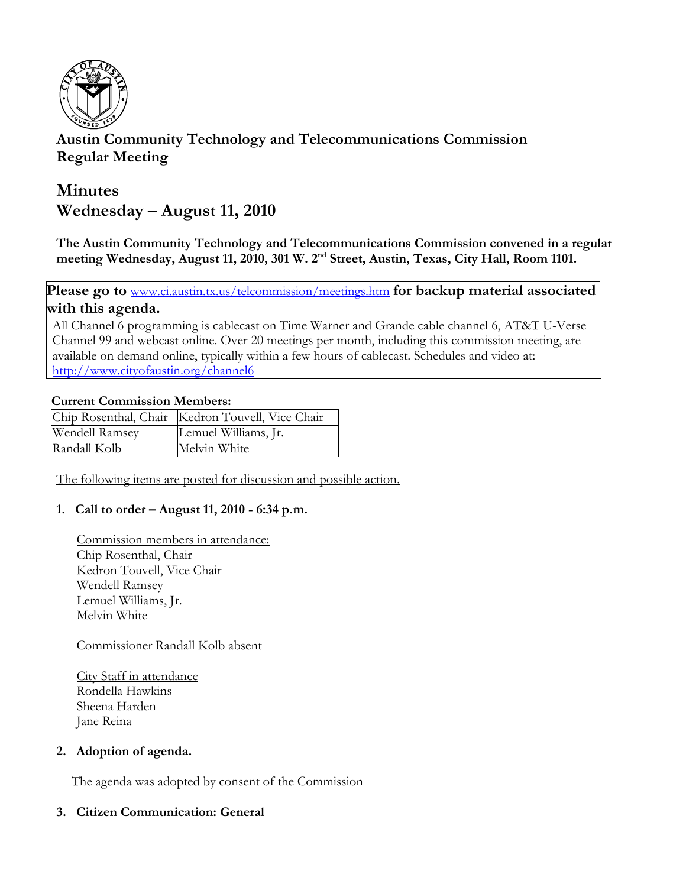

# **Austin Community Technology and Telecommunications Commission Regular Meeting**

# **Minutes Wednesday – August 11, 2010**

**The Austin Community Technology and Telecommunications Commission convened in a regular**  meeting Wednesday, August 11, 2010, 301 W. 2<sup>nd</sup> Street, Austin, Texas, City Hall, Room 1101.

Please go to **www.ci.austin.tx.us/telcommission/meetings.htm** for backup material associated **with this agenda.** 

All Channel 6 programming is cablecast on Time Warner and Grande cable channel 6, AT&T U-Verse Channel 99 and webcast online. Over 20 meetings per month, including this commission meeting, are available on demand online, typically within a few hours of cablecast. Schedules and video at: http://www.cityofaustin.org/channel6

## **Current Commission Members:**

|                | Chip Rosenthal, Chair   Kedron Touvell, Vice Chair |
|----------------|----------------------------------------------------|
| Wendell Ramsey | Lemuel Williams, Jr.                               |
| Randall Kolb   | Melvin White                                       |

The following items are posted for discussion and possible action.

# **1. Call to order – August 11, 2010 - 6:34 p.m.**

Commission members in attendance: Chip Rosenthal, Chair Kedron Touvell, Vice Chair Wendell Ramsey Lemuel Williams, Jr. Melvin White

Commissioner Randall Kolb absent

City Staff in attendance Rondella Hawkins Sheena Harden Jane Reina

## **2. Adoption of agenda.**

The agenda was adopted by consent of the Commission

# **3. Citizen Communication: General**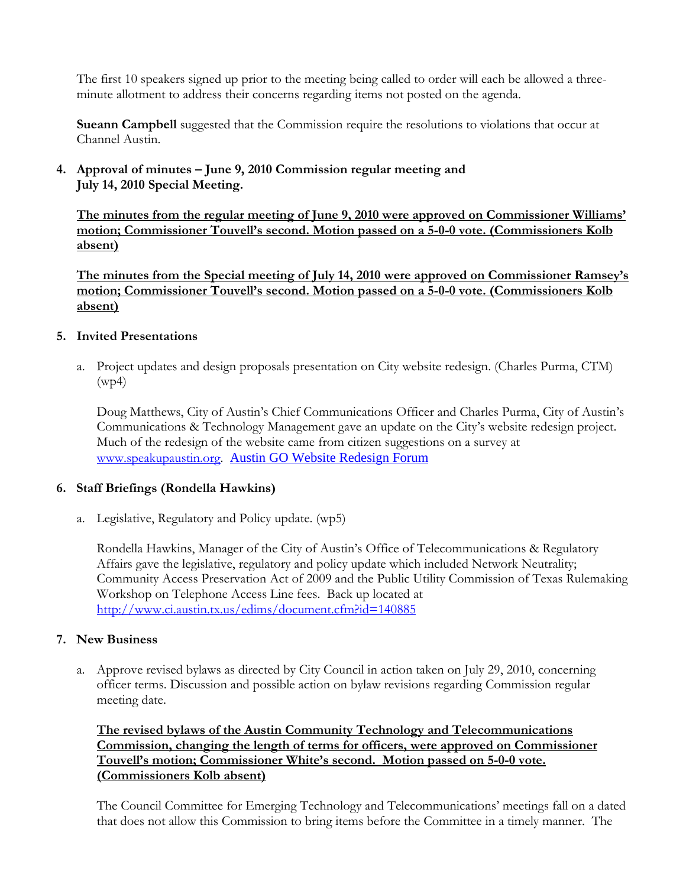The first 10 speakers signed up prior to the meeting being called to order will each be allowed a threeminute allotment to address their concerns regarding items not posted on the agenda.

**Sueann Campbell** suggested that the Commission require the resolutions to violations that occur at Channel Austin.

# **4. Approval of minutes – June 9, 2010 Commission regular meeting and July 14, 2010 Special Meeting.**

**The minutes from the regular meeting of June 9, 2010 were approved on Commissioner Williams' motion; Commissioner Touvell's second. Motion passed on a 5-0-0 vote. (Commissioners Kolb absent)**

**The minutes from the Special meeting of July 14, 2010 were approved on Commissioner Ramsey's motion; Commissioner Touvell's second. Motion passed on a 5-0-0 vote. (Commissioners Kolb absent)**

## **5. Invited Presentations**

a. Project updates and design proposals presentation on City website redesign. (Charles Purma, CTM) (wp4)

Doug Matthews, City of Austin's Chief Communications Officer and Charles Purma, City of Austin's Communications & Technology Management gave an update on the City's website redesign project. Much of the redesign of the website came from citizen suggestions on a survey at www.speakupaustin.org. Austin GO Website Redesign Forum

## **6. Staff Briefings (Rondella Hawkins)**

a. Legislative, Regulatory and Policy update. (wp5)

Rondella Hawkins, Manager of the City of Austin's Office of Telecommunications & Regulatory Affairs gave the legislative, regulatory and policy update which included Network Neutrality; Community Access Preservation Act of 2009 and the Public Utility Commission of Texas Rulemaking Workshop on Telephone Access Line fees. Back up located at http://www.ci.austin.tx.us/edims/document.cfm?id=140885

## **7. New Business**

a. Approve revised bylaws as directed by City Council in action taken on July 29, 2010, concerning officer terms. Discussion and possible action on bylaw revisions regarding Commission regular meeting date.

**The revised bylaws of the Austin Community Technology and Telecommunications Commission, changing the length of terms for officers, were approved on Commissioner Touvell's motion; Commissioner White's second. Motion passed on 5-0-0 vote. (Commissioners Kolb absent)**

The Council Committee for Emerging Technology and Telecommunications' meetings fall on a dated that does not allow this Commission to bring items before the Committee in a timely manner. The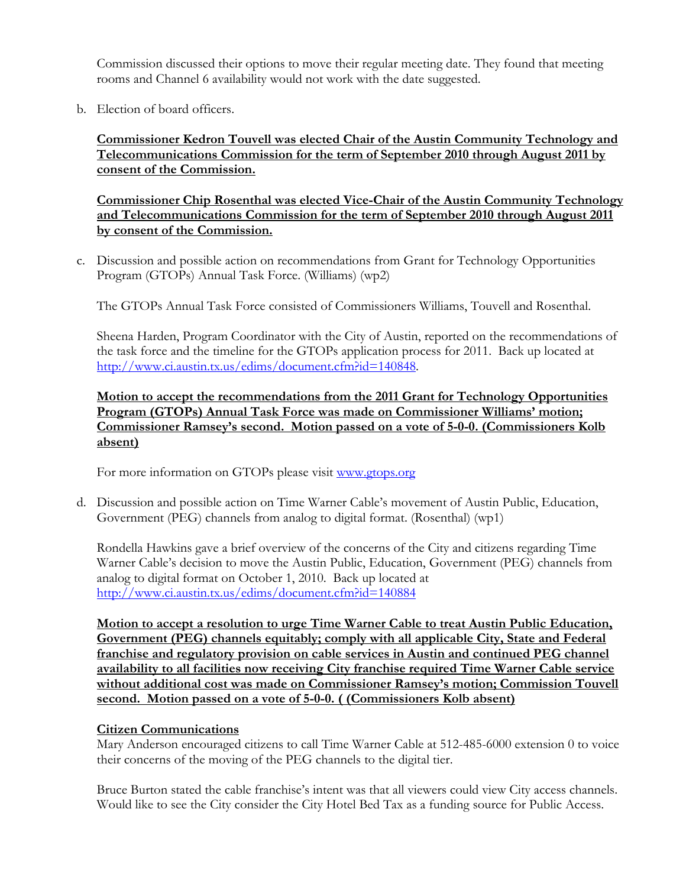Commission discussed their options to move their regular meeting date. They found that meeting rooms and Channel 6 availability would not work with the date suggested.

b. Election of board officers.

**Commissioner Kedron Touvell was elected Chair of the Austin Community Technology and Telecommunications Commission for the term of September 2010 through August 2011 by consent of the Commission.**

**Commissioner Chip Rosenthal was elected Vice-Chair of the Austin Community Technology and Telecommunications Commission for the term of September 2010 through August 2011 by consent of the Commission.**

c. Discussion and possible action on recommendations from Grant for Technology Opportunities Program (GTOPs) Annual Task Force. (Williams) (wp2)

The GTOPs Annual Task Force consisted of Commissioners Williams, Touvell and Rosenthal.

Sheena Harden, Program Coordinator with the City of Austin, reported on the recommendations of the task force and the timeline for the GTOPs application process for 2011. Back up located at http://www.ci.austin.tx.us/edims/document.cfm?id=140848.

**Motion to accept the recommendations from the 2011 Grant for Technology Opportunities Program (GTOPs) Annual Task Force was made on Commissioner Williams' motion; Commissioner Ramsey's second. Motion passed on a vote of 5-0-0. (Commissioners Kolb absent)**

For more information on GTOPs please visit www.gtops.org

 d. Discussion and possible action on Time Warner Cable's movement of Austin Public, Education, Government (PEG) channels from analog to digital format. (Rosenthal) (wp1)

Rondella Hawkins gave a brief overview of the concerns of the City and citizens regarding Time Warner Cable's decision to move the Austin Public, Education, Government (PEG) channels from analog to digital format on October 1, 2010. Back up located at http://www.ci.austin.tx.us/edims/document.cfm?id=140884

**Motion to accept a resolution to urge Time Warner Cable to treat Austin Public Education, Government (PEG) channels equitably; comply with all applicable City, State and Federal franchise and regulatory provision on cable services in Austin and continued PEG channel availability to all facilities now receiving City franchise required Time Warner Cable service without additional cost was made on Commissioner Ramsey's motion; Commission Touvell second. Motion passed on a vote of 5-0-0. ( (Commissioners Kolb absent)**

## **Citizen Communications**

Mary Anderson encouraged citizens to call Time Warner Cable at 512-485-6000 extension 0 to voice their concerns of the moving of the PEG channels to the digital tier.

Bruce Burton stated the cable franchise's intent was that all viewers could view City access channels. Would like to see the City consider the City Hotel Bed Tax as a funding source for Public Access.